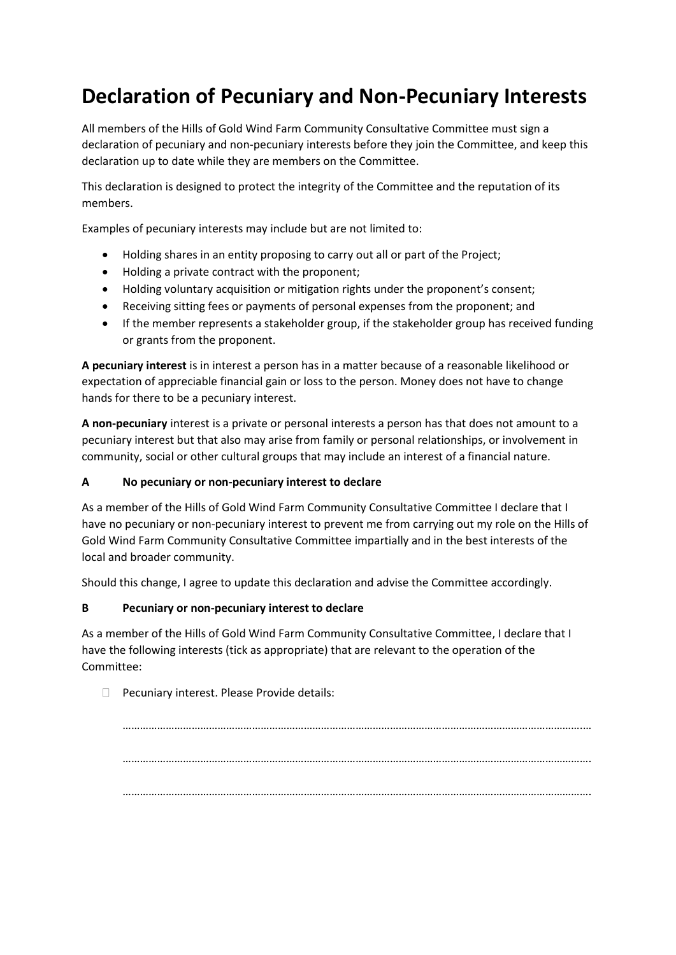## **Declaration of Pecuniary and Non-Pecuniary Interests**

All members of the Hills of Gold Wind Farm Community Consultative Committee must sign a declaration of pecuniary and non-pecuniary interests before they join the Committee, and keep this declaration up to date while they are members on the Committee.

This declaration is designed to protect the integrity of the Committee and the reputation of its members.

Examples of pecuniary interests may include but are not limited to:

- Holding shares in an entity proposing to carry out all or part of the Project;
- Holding a private contract with the proponent;
- Holding voluntary acquisition or mitigation rights under the proponent's consent;
- Receiving sitting fees or payments of personal expenses from the proponent; and
- If the member represents a stakeholder group, if the stakeholder group has received funding or grants from the proponent.

**A pecuniary interest** is in interest a person has in a matter because of a reasonable likelihood or expectation of appreciable financial gain or loss to the person. Money does not have to change hands for there to be a pecuniary interest.

**A non-pecuniary** interest is a private or personal interests a person has that does not amount to a pecuniary interest but that also may arise from family or personal relationships, or involvement in community, social or other cultural groups that may include an interest of a financial nature.

## **A No pecuniary or non-pecuniary interest to declare**

As a member of the Hills of Gold Wind Farm Community Consultative Committee I declare that I have no pecuniary or non-pecuniary interest to prevent me from carrying out my role on the Hills of Gold Wind Farm Community Consultative Committee impartially and in the best interests of the local and broader community.

Should this change, I agree to update this declaration and advise the Committee accordingly.

## **B Pecuniary or non-pecuniary interest to declare**

As a member of the Hills of Gold Wind Farm Community Consultative Committee, I declare that I have the following interests (tick as appropriate) that are relevant to the operation of the Committee:

 $\Box$  Pecuniary interest. Please Provide details:

…………………………………………………………………………………………………………………………………………….… ………………………………………………………………………………………………………………………………………………. ……………………………………………………………………………………………………………………………………………….